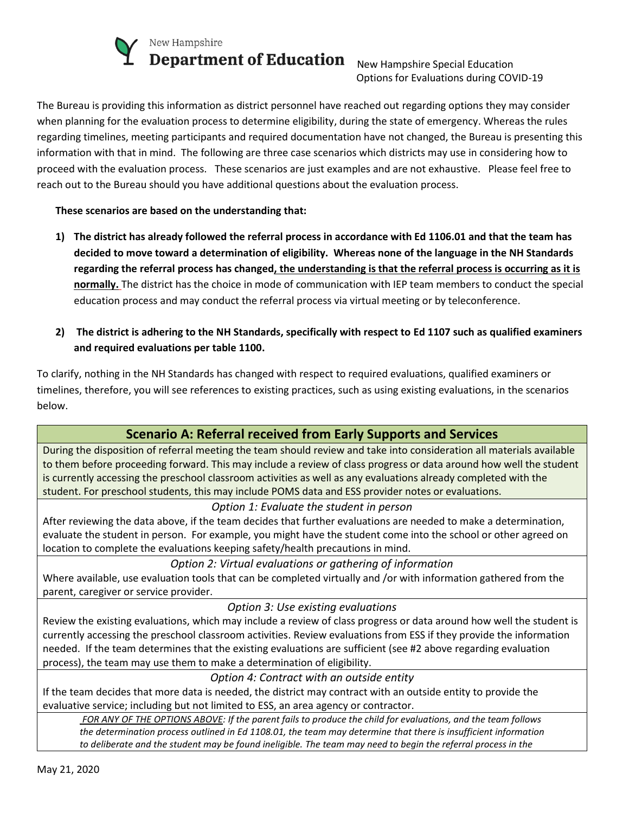

Options for Evaluations during COVID-19

The Bureau is providing this information as district personnel have reached out regarding options they may consider when planning for the evaluation process to determine eligibility, during the state of emergency. Whereas the rules regarding timelines, meeting participants and required documentation have not changed, the Bureau is presenting this information with that in mind. The following are three case scenarios which districts may use in considering how to proceed with the evaluation process. These scenarios are just examples and are not exhaustive. Please feel free to reach out to the Bureau should you have additional questions about the evaluation process.

#### **These scenarios are based on the understanding that:**

- **1) The district has already followed the referral process in accordance with Ed 1106.01 and that the team has decided to move toward a determination of eligibility. Whereas none of the language in the NH Standards regarding the referral process has changed, the understanding is that the referral process is occurring as it is normally.** The district has the choice in mode of communication with IEP team members to conduct the special education process and may conduct the referral process via virtual meeting or by teleconference.
- **2) The district is adhering to the NH Standards, specifically with respect to Ed 1107 such as qualified examiners and required evaluations per table 1100.**

To clarify, nothing in the NH Standards has changed with respect to required evaluations, qualified examiners or timelines, therefore, you will see references to existing practices, such as using existing evaluations, in the scenarios below.

# **Scenario A: Referral received from Early Supports and Services**

During the disposition of referral meeting the team should review and take into consideration all materials available to them before proceeding forward. This may include a review of class progress or data around how well the student is currently accessing the preschool classroom activities as well as any evaluations already completed with the student. For preschool students, this may include POMS data and ESS provider notes or evaluations.

#### *Option 1: Evaluate the student in person*

After reviewing the data above, if the team decides that further evaluations are needed to make a determination, evaluate the student in person. For example, you might have the student come into the school or other agreed on location to complete the evaluations keeping safety/health precautions in mind.

*Option 2: Virtual evaluations or gathering of information*

Where available, use evaluation tools that can be completed virtually and /or with information gathered from the parent, caregiver or service provider.

*Option 3: Use existing evaluations*

Review the existing evaluations, which may include a review of class progress or data around how well the student is currently accessing the preschool classroom activities. Review evaluations from ESS if they provide the information needed. If the team determines that the existing evaluations are sufficient (see #2 above regarding evaluation process), the team may use them to make a determination of eligibility.

*Option 4: Contract with an outside entity*

If the team decides that more data is needed, the district may contract with an outside entity to provide the evaluative service; including but not limited to ESS, an area agency or contractor.

*FOR ANY OF THE OPTIONS ABOVE: If the parent fails to produce the child for evaluations, and the team follows the determination process outlined in Ed 1108.01, the team may determine that there is insufficient information* to deliberate and the student may be found ineligible. The team may need to begin the referral process in the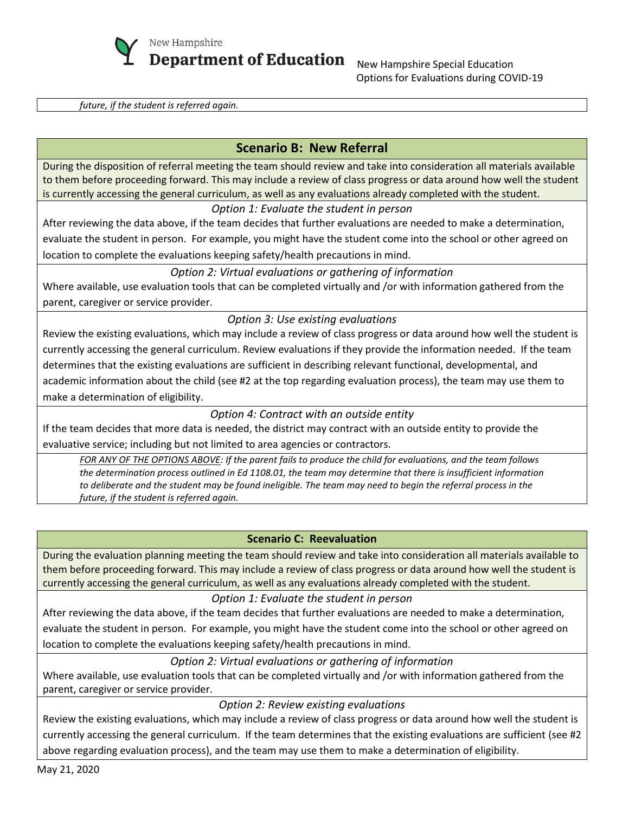

*future, if the student is referred again.*

# **Scenario B: New Referral**

During the disposition of referral meeting the team should review and take into consideration all materials available to them before proceeding forward. This may include a review of class progress or data around how well the student is currently accessing the general curriculum, as well as any evaluations already completed with the student.

### *Option 1: Evaluate the student in person*

After reviewing the data above, if the team decides that further evaluations are needed to make a determination, evaluate the student in person. For example, you might have the student come into the school or other agreed on location to complete the evaluations keeping safety/health precautions in mind.

# *Option 2: Virtual evaluations or gathering of information*

Where available, use evaluation tools that can be completed virtually and /or with information gathered from the parent, caregiver or service provider.

### *Option 3: Use existing evaluations*

Review the existing evaluations, which may include a review of class progress or data around how well the student is currently accessing the general curriculum. Review evaluations if they provide the information needed. If the team determines that the existing evaluations are sufficient in describing relevant functional, developmental, and academic information about the child (see #2 at the top regarding evaluation process), the team may use them to make a determination of eligibility.

#### *Option 4: Contract with an outside entity*

If the team decides that more data is needed, the district may contract with an outside entity to provide the evaluative service; including but not limited to area agencies or contractors.

*FOR ANY OF THE OPTIONS ABOVE: If the parent fails to produce the child for evaluations, and the team follows the determination process outlined in Ed 1108.01, the team may determine that there is insufficient information* to deliberate and the student may be found ineligible. The team may need to begin the referral process in the *future, if the student is referred again.*

# **Scenario C: Reevaluation**

During the evaluation planning meeting the team should review and take into consideration all materials available to them before proceeding forward. This may include a review of class progress or data around how well the student is currently accessing the general curriculum, as well as any evaluations already completed with the student.

#### *Option 1: Evaluate the student in person*

After reviewing the data above, if the team decides that further evaluations are needed to make a determination, evaluate the student in person. For example, you might have the student come into the school or other agreed on location to complete the evaluations keeping safety/health precautions in mind.

*Option 2: Virtual evaluations or gathering of information*

Where available, use evaluation tools that can be completed virtually and /or with information gathered from the parent, caregiver or service provider.

# *Option 2: Review existing evaluations*

Review the existing evaluations, which may include a review of class progress or data around how well the student is currently accessing the general curriculum. If the team determines that the existing evaluations are sufficient (see #2 above regarding evaluation process), and the team may use them to make a determination of eligibility.